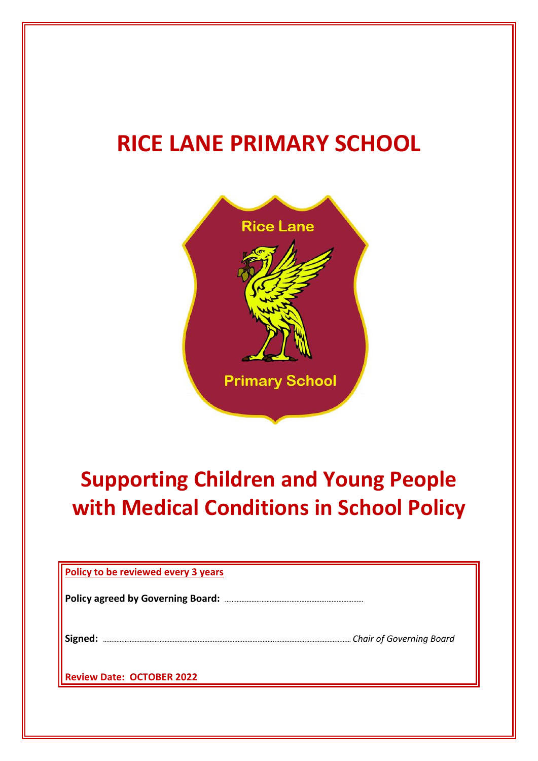# **RICE LANE PRIMARY SCHOOL**



# **Supporting Children and Young People with Medical Conditions in School Policy**

| Policy to be reviewed every 3 years      |                                 |
|------------------------------------------|---------------------------------|
| <b>Policy agreed by Governing Board:</b> |                                 |
| Signed:                                  | <b>Chair of Governing Board</b> |
| <b>Review Date: OCTOBER 2022</b>         |                                 |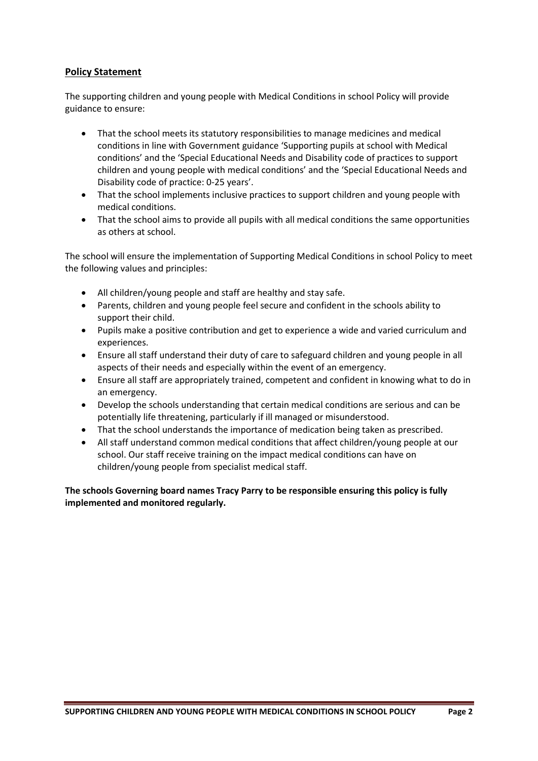## **Policy Statement**

The supporting children and young people with Medical Conditions in school Policy will provide guidance to ensure:

- That the school meets its statutory responsibilities to manage medicines and medical conditions in line with Government guidance 'Supporting pupils at school with Medical conditions' and the 'Special Educational Needs and Disability code of practices to support children and young people with medical conditions' and the 'Special Educational Needs and Disability code of practice: 0-25 years'.
- That the school implements inclusive practices to support children and young people with medical conditions.
- That the school aims to provide all pupils with all medical conditions the same opportunities as others at school.

The school will ensure the implementation of Supporting Medical Conditions in school Policy to meet the following values and principles:

- All children/young people and staff are healthy and stay safe.
- Parents, children and young people feel secure and confident in the schools ability to support their child.
- Pupils make a positive contribution and get to experience a wide and varied curriculum and experiences.
- Ensure all staff understand their duty of care to safeguard children and young people in all aspects of their needs and especially within the event of an emergency.
- Ensure all staff are appropriately trained, competent and confident in knowing what to do in an emergency.
- Develop the schools understanding that certain medical conditions are serious and can be potentially life threatening, particularly if ill managed or misunderstood.
- That the school understands the importance of medication being taken as prescribed.
- All staff understand common medical conditions that affect children/young people at our school. Our staff receive training on the impact medical conditions can have on children/young people from specialist medical staff.

**The schools Governing board names Tracy Parry to be responsible ensuring this policy is fully implemented and monitored regularly.**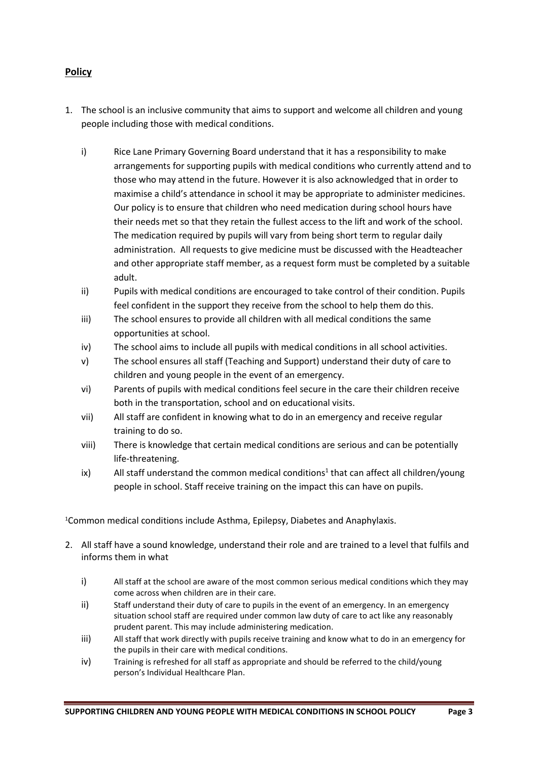# **Policy**

- 1. The school is an inclusive community that aims to support and welcome all children and young people including those with medical conditions.
	- i) Rice Lane Primary Governing Board understand that it has a responsibility to make arrangements for supporting pupils with medical conditions who currently attend and to those who may attend in the future. However it is also acknowledged that in order to maximise a child's attendance in school it may be appropriate to administer medicines. Our policy is to ensure that children who need medication during school hours have their needs met so that they retain the fullest access to the lift and work of the school. The medication required by pupils will vary from being short term to regular daily administration. All requests to give medicine must be discussed with the Headteacher and other appropriate staff member, as a request form must be completed by a suitable adult.
	- ii) Pupils with medical conditions are encouraged to take control of their condition. Pupils feel confident in the support they receive from the school to help them do this.
	- iii) The school ensures to provide all children with all medical conditions the same opportunities at school.
	- iv) The school aims to include all pupils with medical conditions in all school activities.
	- v) The school ensures all staff (Teaching and Support) understand their duty of care to children and young people in the event of an emergency.
	- vi) Parents of pupils with medical conditions feel secure in the care their children receive both in the transportation, school and on educational visits.
	- vii) All staff are confident in knowing what to do in an emergency and receive regular training to do so.
	- viii) There is knowledge that certain medical conditions are serious and can be potentially life-threatening.
	- ix) All staff understand the common medical conditions<sup>1</sup> that can affect all children/young people in school. Staff receive training on the impact this can have on pupils.

<sup>1</sup>Common medical conditions include Asthma, Epilepsy, Diabetes and Anaphylaxis.

- 2. All staff have a sound knowledge, understand their role and are trained to a level that fulfils and informs them in what
	- i) All staff at the school are aware of the most common serious medical conditions which they may come across when children are in their care.
	- ii) Staff understand their duty of care to pupils in the event of an emergency. In an emergency situation school staff are required under common law duty of care to act like any reasonably prudent parent. This may include administering medication.
	- iii) All staff that work directly with pupils receive training and know what to do in an emergency for the pupils in their care with medical conditions.
	- iv) Training is refreshed for all staff as appropriate and should be referred to the child/young person's Individual Healthcare Plan.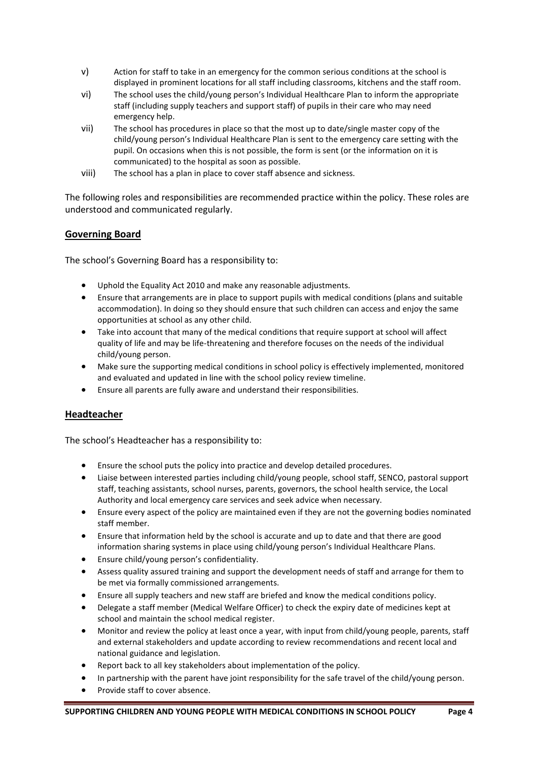- v) Action for staff to take in an emergency for the common serious conditions at the school is displayed in prominent locations for all staff including classrooms, kitchens and the staff room.
- vi) The school uses the child/young person's Individual Healthcare Plan to inform the appropriate staff (including supply teachers and support staff) of pupils in their care who may need emergency help.
- vii) The school has procedures in place so that the most up to date/single master copy of the child/young person's Individual Healthcare Plan is sent to the emergency care setting with the pupil. On occasions when this is not possible, the form is sent (or the information on it is communicated) to the hospital as soon as possible.
- viii) The school has a plan in place to cover staff absence and sickness.

The following roles and responsibilities are recommended practice within the policy. These roles are understood and communicated regularly.

#### **Governing Board**

The school's Governing Board has a responsibility to:

- Uphold the Equality Act 2010 and make any reasonable adjustments.
- Ensure that arrangements are in place to support pupils with medical conditions (plans and suitable accommodation). In doing so they should ensure that such children can access and enjoy the same opportunities at school as any other child.
- Take into account that many of the medical conditions that require support at school will affect quality of life and may be life-threatening and therefore focuses on the needs of the individual child/young person.
- Make sure the supporting medical conditions in school policy is effectively implemented, monitored and evaluated and updated in line with the school policy review timeline.
- Ensure all parents are fully aware and understand their responsibilities.

### **Headteacher**

The school's Headteacher has a responsibility to:

- Ensure the school puts the policy into practice and develop detailed procedures.
- Liaise between interested parties including child/young people, school staff, SENCO, pastoral support staff, teaching assistants, school nurses, parents, governors, the school health service, the Local Authority and local emergency care services and seek advice when necessary.
- Ensure every aspect of the policy are maintained even if they are not the governing bodies nominated staff member.
- Ensure that information held by the school is accurate and up to date and that there are good information sharing systems in place using child/young person's Individual Healthcare Plans.
- Ensure child/young person's confidentiality.
- Assess quality assured training and support the development needs of staff and arrange for them to be met via formally commissioned arrangements.
- Ensure all supply teachers and new staff are briefed and know the medical conditions policy.
- Delegate a staff member (Medical Welfare Officer) to check the expiry date of medicines kept at school and maintain the school medical register.
- Monitor and review the policy at least once a year, with input from child/young people, parents, staff and external stakeholders and update according to review recommendations and recent local and national guidance and legislation.
- Report back to all key stakeholders about implementation of the policy.
- In partnership with the parent have joint responsibility for the safe travel of the child/young person.
- Provide staff to cover absence.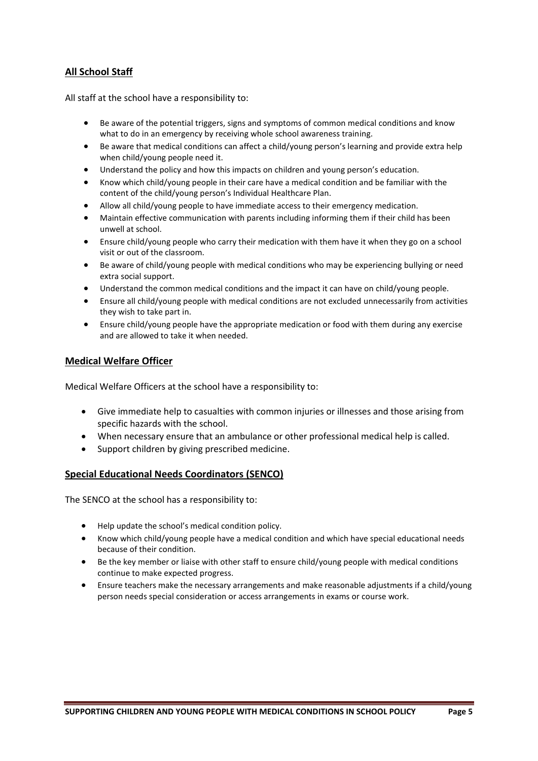# **All School Staff**

All staff at the school have a responsibility to:

- Be aware of the potential triggers, signs and symptoms of common medical conditions and know what to do in an emergency by receiving whole school awareness training.
- Be aware that medical conditions can affect a child/young person's learning and provide extra help when child/young people need it.
- Understand the policy and how this impacts on children and young person's education.
- Know which child/young people in their care have a medical condition and be familiar with the content of the child/young person's Individual Healthcare Plan.
- Allow all child/young people to have immediate access to their emergency medication.
- Maintain effective communication with parents including informing them if their child has been unwell at school.
- Ensure child/young people who carry their medication with them have it when they go on a school visit or out of the classroom.
- Be aware of child/young people with medical conditions who may be experiencing bullying or need extra social support.
- Understand the common medical conditions and the impact it can have on child/young people.
- Ensure all child/young people with medical conditions are not excluded unnecessarily from activities they wish to take part in.
- Ensure child/young people have the appropriate medication or food with them during any exercise and are allowed to take it when needed.

### **Medical Welfare Officer**

Medical Welfare Officers at the school have a responsibility to:

- Give immediate help to casualties with common injuries or illnesses and those arising from specific hazards with the school.
- When necessary ensure that an ambulance or other professional medical help is called.
- Support children by giving prescribed medicine.

### **Special Educational Needs Coordinators (SENCO)**

The SENCO at the school has a responsibility to:

- Help update the school's medical condition policy.
- Know which child/young people have a medical condition and which have special educational needs because of their condition.
- Be the key member or liaise with other staff to ensure child/young people with medical conditions continue to make expected progress.
- Ensure teachers make the necessary arrangements and make reasonable adjustments if a child/young person needs special consideration or access arrangements in exams or course work.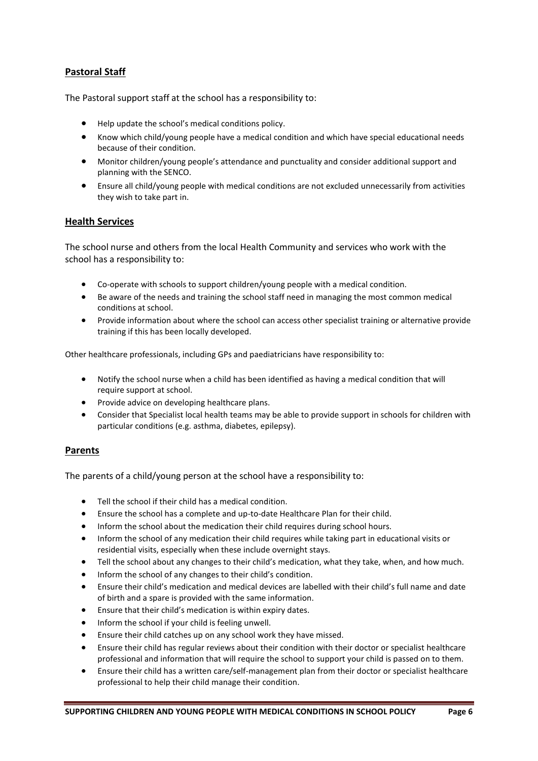# **Pastoral Staff**

The Pastoral support staff at the school has a responsibility to:

- Help update the school's medical conditions policy.
- Know which child/young people have a medical condition and which have special educational needs because of their condition.
- Monitor children/young people's attendance and punctuality and consider additional support and planning with the SENCO.
- Ensure all child/young people with medical conditions are not excluded unnecessarily from activities they wish to take part in.

#### **Health Services**

The school nurse and others from the local Health Community and services who work with the school has a responsibility to:

- Co-operate with schools to support children/young people with a medical condition.
- Be aware of the needs and training the school staff need in managing the most common medical conditions at school.
- Provide information about where the school can access other specialist training or alternative provide training if this has been locally developed.

Other healthcare professionals, including GPs and paediatricians have responsibility to:

- Notify the school nurse when a child has been identified as having a medical condition that will require support at school.
- Provide advice on developing healthcare plans.
- Consider that Specialist local health teams may be able to provide support in schools for children with particular conditions (e.g. asthma, diabetes, epilepsy).

#### **Parents**

The parents of a child/young person at the school have a responsibility to:

- Tell the school if their child has a medical condition.
- Ensure the school has a complete and up-to-date Healthcare Plan for their child.
- Inform the school about the medication their child requires during school hours.
- Inform the school of any medication their child requires while taking part in educational visits or residential visits, especially when these include overnight stays.
- Tell the school about any changes to their child's medication, what they take, when, and how much.
- Inform the school of any changes to their child's condition.
- Ensure their child's medication and medical devices are labelled with their child's full name and date of birth and a spare is provided with the same information.
- Ensure that their child's medication is within expiry dates.
- Inform the school if your child is feeling unwell.
- Ensure their child catches up on any school work they have missed.
- Ensure their child has regular reviews about their condition with their doctor or specialist healthcare professional and information that will require the school to support your child is passed on to them.
- Ensure their child has a written care/self-management plan from their doctor or specialist healthcare professional to help their child manage their condition.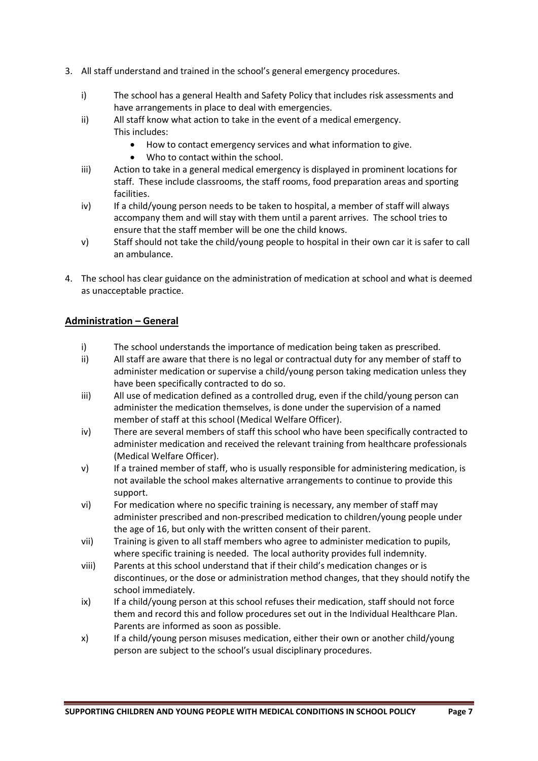- 3. All staff understand and trained in the school's general emergency procedures.
	- i) The school has a general Health and Safety Policy that includes risk assessments and have arrangements in place to deal with emergencies.
	- ii) All staff know what action to take in the event of a medical emergency. This includes:
		- How to contact emergency services and what information to give.
		- Who to contact within the school.
	- iii) Action to take in a general medical emergency is displayed in prominent locations for staff. These include classrooms, the staff rooms, food preparation areas and sporting facilities.
	- iv) If a child/young person needs to be taken to hospital, a member of staff will always accompany them and will stay with them until a parent arrives. The school tries to ensure that the staff member will be one the child knows.
	- v) Staff should not take the child/young people to hospital in their own car it is safer to call an ambulance.
- 4. The school has clear guidance on the administration of medication at school and what is deemed as unacceptable practice.

### **Administration – General**

- i) The school understands the importance of medication being taken as prescribed.
- ii) All staff are aware that there is no legal or contractual duty for any member of staff to administer medication or supervise a child/young person taking medication unless they have been specifically contracted to do so.
- iii) All use of medication defined as a controlled drug, even if the child/young person can administer the medication themselves, is done under the supervision of a named member of staff at this school (Medical Welfare Officer).
- iv) There are several members of staff this school who have been specifically contracted to administer medication and received the relevant training from healthcare professionals (Medical Welfare Officer).
- v) If a trained member of staff, who is usually responsible for administering medication, is not available the school makes alternative arrangements to continue to provide this support.
- vi) For medication where no specific training is necessary, any member of staff may administer prescribed and non-prescribed medication to children/young people under the age of 16, but only with the written consent of their parent.
- vii) Training is given to all staff members who agree to administer medication to pupils, where specific training is needed. The local authority provides full indemnity.
- viii) Parents at this school understand that if their child's medication changes or is discontinues, or the dose or administration method changes, that they should notify the school immediately.
- ix) If a child/young person at this school refuses their medication, staff should not force them and record this and follow procedures set out in the Individual Healthcare Plan. Parents are informed as soon as possible.
- x) If a child/young person misuses medication, either their own or another child/young person are subject to the school's usual disciplinary procedures.